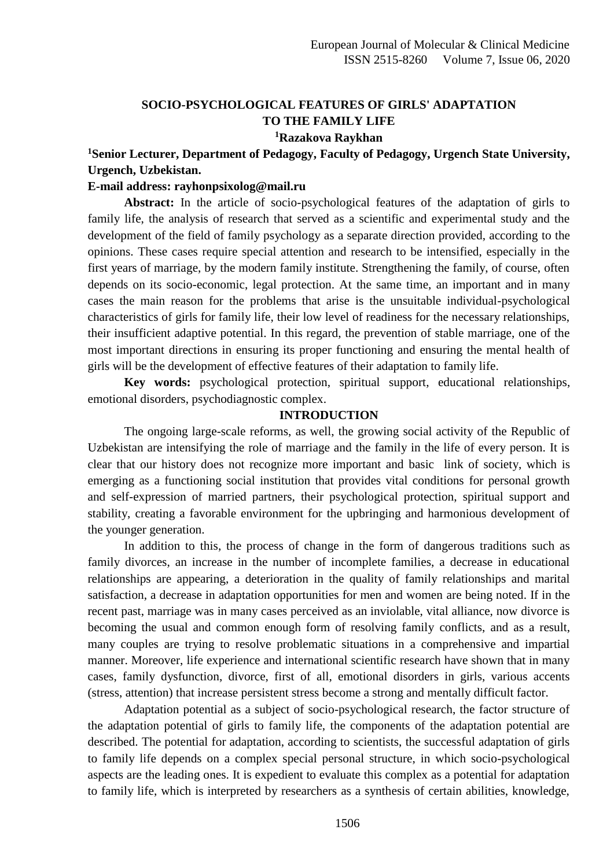## **SOCIO-PSYCHOLOGICAL FEATURES OF GIRLS' ADAPTATION TO THE FAMILY LIFE <sup>1</sup>Razakova Raykhan**

# **<sup>1</sup>Senior Lecturer, Department of Pedagogy, Faculty of Pedagogy, Urgench State University, Urgench, Uzbekistan.**

#### **E-mail address: rayhonpsixolog@mail.ru**

**Abstract:** In the article of socio-psychological features of the adaptation of girls to family life, the analysis of research that served as a scientific and experimental study and the development of the field of family psychology as a separate direction provided, according to the opinions. These cases require special attention and research to be intensified, especially in the first years of marriage, by the modern family institute. Strengthening the family, of course, often depends on its socio-economic, legal protection. At the same time, an important and in many cases the main reason for the problems that arise is the unsuitable individual-psychological characteristics of girls for family life, their low level of readiness for the necessary relationships, their insufficient adaptive potential. In this regard, the prevention of stable marriage, one of the most important directions in ensuring its proper functioning and ensuring the mental health of girls will be the development of effective features of their adaptation to family life.

**Key words:** psychological protection, spiritual support, educational relationships, emotional disorders, psychodiagnostic complex.

#### **INTRODUCTION**

The ongoing large-scale reforms, as well, the growing social activity of the Republic of Uzbekistan are intensifying the role of marriage and the family in the life of every person. It is clear that our history does not recognize more important and basic link of society, which is emerging as a functioning social institution that provides vital conditions for personal growth and self-expression of married partners, their psychological protection, spiritual support and stability, creating a favorable environment for the upbringing and harmonious development of the younger generation.

In addition to this, the process of change in the form of dangerous traditions such as family divorces, an increase in the number of incomplete families, a decrease in educational relationships are appearing, a deterioration in the quality of family relationships and marital satisfaction, a decrease in adaptation opportunities for men and women are being noted. If in the recent past, marriage was in many cases perceived as an inviolable, vital alliance, now divorce is becoming the usual and common enough form of resolving family conflicts, and as a result, many couples are trying to resolve problematic situations in a comprehensive and impartial manner. Moreover, life experience and international scientific research have shown that in many cases, family dysfunction, divorce, first of all, emotional disorders in girls, various accents (stress, attention) that increase persistent stress become a strong and mentally difficult factor.

Adaptation potential as a subject of socio-psychological research, the factor structure of the adaptation potential of girls to family life, the components of the adaptation potential are described. The potential for adaptation, according to scientists, the successful adaptation of girls to family life depends on a complex special personal structure, in which socio-psychological aspects are the leading ones. It is expedient to evaluate this complex as a potential for adaptation to family life, which is interpreted by researchers as a synthesis of certain abilities, knowledge,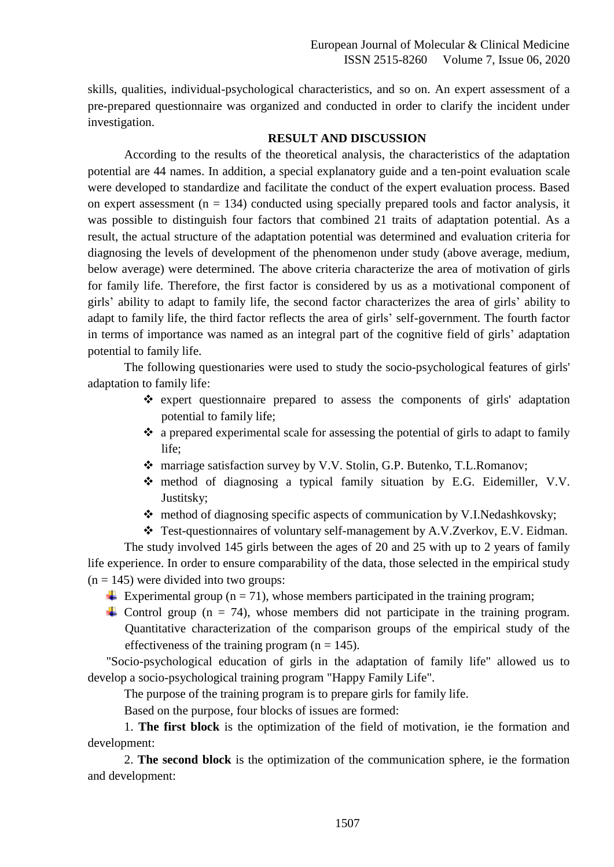skills, qualities, individual-psychological characteristics, and so on. An expert assessment of a pre-prepared questionnaire was organized and conducted in order to clarify the incident under investigation.

#### **RESULT AND DISCUSSION**

According to the results of the theoretical analysis, the characteristics of the adaptation potential are 44 names. In addition, a special explanatory guide and a ten-point evaluation scale were developed to standardize and facilitate the conduct of the expert evaluation process. Based on expert assessment ( $n = 134$ ) conducted using specially prepared tools and factor analysis, it was possible to distinguish four factors that combined 21 traits of adaptation potential. As a result, the actual structure of the adaptation potential was determined and evaluation criteria for diagnosing the levels of development of the phenomenon under study (above average, medium, below average) were determined. The above criteria characterize the area of motivation of girls for family life. Therefore, the first factor is considered by us as a motivational component of girls' ability to adapt to family life, the second factor characterizes the area of girls' ability to adapt to family life, the third factor reflects the area of girls' self-government. The fourth factor in terms of importance was named as an integral part of the cognitive field of girls' adaptation potential to family life.

The following questionaries were used to study the socio-psychological features of girls' adaptation to family life:

- $\triangle$  expert questionnaire prepared to assess the components of girls' adaptation potential to family life;
- a prepared experimental scale for assessing the potential of girls to adapt to family life;
- marriage satisfaction survey by V.V. Stolin, G.P. Butenko, T.L.Romanov;
- method of diagnosing a typical family situation by E.G. Eidemiller, V.V. Justitsky;
- $\triangle$  method of diagnosing specific aspects of communication by V.I.Nedashkovsky;
- Test-questionnaires of voluntary self-management by A.V.Zverkov, E.V. Eidman.

The study involved 145 girls between the ages of 20 and 25 with up to 2 years of family life experience. In order to ensure comparability of the data, those selected in the empirical study  $(n = 145)$  were divided into two groups:

- Experimental group ( $n = 71$ ), whose members participated in the training program;
- Control group ( $n = 74$ ), whose members did not participate in the training program. Quantitative characterization of the comparison groups of the empirical study of the effectiveness of the training program  $(n = 145)$ .

 "Socio-psychological education of girls in the adaptation of family life" allowed us to develop a socio-psychological training program "Happy Family Life".

The purpose of the training program is to prepare girls for family life.

Based on the purpose, four blocks of issues are formed:

1. **The first block** is the optimization of the field of motivation, ie the formation and development:

2. **The second block** is the optimization of the communication sphere, ie the formation and development: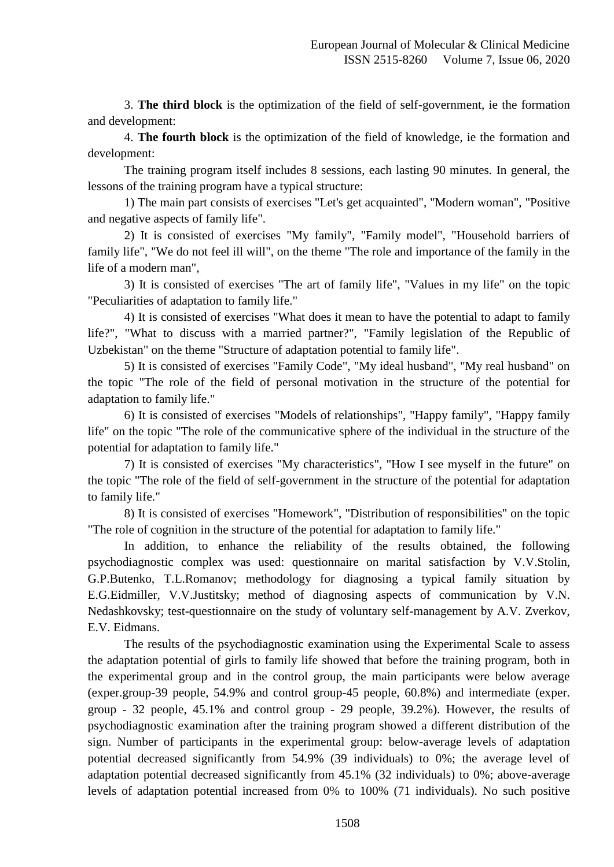3. **The third block** is the optimization of the field of self-government, ie the formation and development:

4. **The fourth block** is the optimization of the field of knowledge, ie the formation and development:

The training program itself includes 8 sessions, each lasting 90 minutes. In general, the lessons of the training program have a typical structure:

1) The main part consists of exercises "Let's get acquainted", "Modern woman", "Positive and negative aspects of family life".

2) It is consisted of exercises "My family", "Family model", "Household barriers of family life", "We do not feel ill will", on the theme "The role and importance of the family in the life of a modern man",

3) It is consisted of exercises "The art of family life", "Values in my life" on the topic "Peculiarities of adaptation to family life."

4) It is consisted of exercises "What does it mean to have the potential to adapt to family life?", "What to discuss with a married partner?", "Family legislation of the Republic of Uzbekistan" on the theme "Structure of adaptation potential to family life".

5) It is consisted of exercises "Family Code", "My ideal husband", "My real husband" on the topic "The role of the field of personal motivation in the structure of the potential for adaptation to family life."

6) It is consisted of exercises "Models of relationships", "Happy family", "Happy family life" on the topic "The role of the communicative sphere of the individual in the structure of the potential for adaptation to family life."

7) It is consisted of exercises "My characteristics", "How I see myself in the future" on the topic "The role of the field of self-government in the structure of the potential for adaptation to family life."

8) It is consisted of exercises "Homework", "Distribution of responsibilities" on the topic "The role of cognition in the structure of the potential for adaptation to family life."

In addition, to enhance the reliability of the results obtained, the following psychodiagnostic complex was used: questionnaire on marital satisfaction by V.V.Stolin, G.P.Butenko, T.L.Romanov; methodology for diagnosing a typical family situation by E.G.Eidmiller, V.V.Justitsky; method of diagnosing aspects of communication by V.N. Nedashkovsky; test-questionnaire on the study of voluntary self-management by A.V. Zverkov, E.V. Eidmans.

The results of the psychodiagnostic examination using the Experimental Scale to assess the adaptation potential of girls to family life showed that before the training program, both in the experimental group and in the control group, the main participants were below average (exper.group-39 people, 54.9% and control group-45 people, 60.8%) and intermediate (exper. group - 32 people, 45.1% and control group - 29 people, 39.2%). However, the results of psychodiagnostic examination after the training program showed a different distribution of the sign. Number of participants in the experimental group: below-average levels of adaptation potential decreased significantly from 54.9% (39 individuals) to 0%; the average level of adaptation potential decreased significantly from 45.1% (32 individuals) to 0%; above-average levels of adaptation potential increased from 0% to 100% (71 individuals). No such positive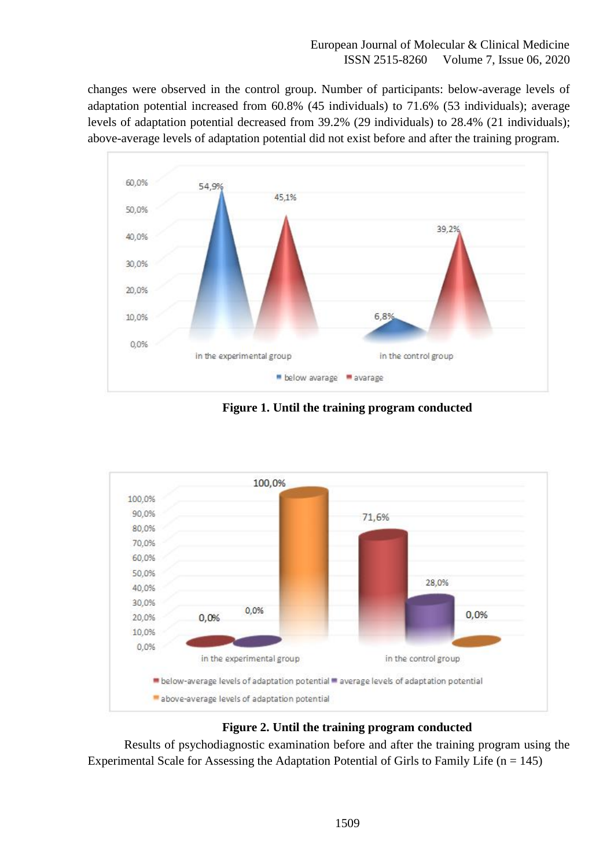### European Journal of Molecular & Clinical Medicine ISSN 2515-8260 Volume 7, Issue 06, 2020

changes were observed in the control group. Number of participants: below-average levels of adaptation potential increased from 60.8% (45 individuals) to 71.6% (53 individuals); average levels of adaptation potential decreased from 39.2% (29 individuals) to 28.4% (21 individuals); above-average levels of adaptation potential did not exist before and after the training program.



**Figure 1. Until the training program conducted**



### **Figure 2. Until the training program conducted**

Results of psychodiagnostic examination before and after the training program using the Experimental Scale for Assessing the Adaptation Potential of Girls to Family Life ( $n = 145$ )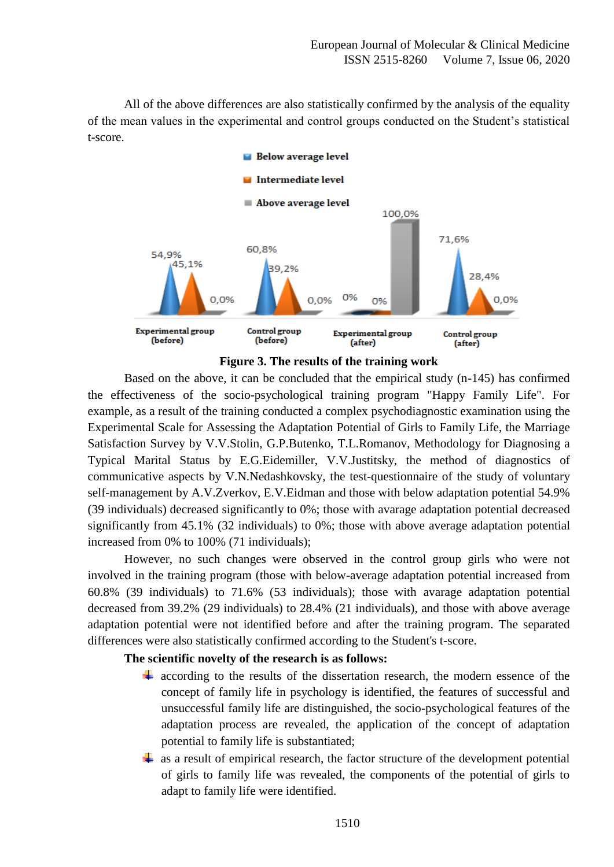All of the above differences are also statistically confirmed by the analysis of the equality of the mean values in the experimental and control groups conducted on the Student's statistical t-score.



**Figure 3. The results of the training work**

Based on the above, it can be concluded that the empirical study (n-145) has confirmed the effectiveness of the socio-psychological training program "Happy Family Life". For example, as a result of the training conducted a complex psychodiagnostic examination using the Experimental Scale for Assessing the Adaptation Potential of Girls to Family Life, the Marriage Satisfaction Survey by V.V.Stolin, G.P.Butenko, T.L.Romanov, Methodology for Diagnosing a Typical Marital Status by E.G.Eidemiller, V.V.Justitsky, the method of diagnostics of communicative aspects by V.N.Nedashkovsky, the test-questionnaire of the study of voluntary self-management by A.V.Zverkov, E.V.Eidman and those with below adaptation potential 54.9% (39 individuals) decreased significantly to 0%; those with avarage adaptation potential decreased significantly from 45.1% (32 individuals) to 0%; those with above average adaptation potential increased from 0% to 100% (71 individuals);

However, no such changes were observed in the control group girls who were not involved in the training program (those with below-average adaptation potential increased from 60.8% (39 individuals) to 71.6% (53 individuals); those with avarage adaptation potential decreased from 39.2% (29 individuals) to 28.4% (21 individuals), and those with above average adaptation potential were not identified before and after the training program. The separated differences were also statistically confirmed according to the Student's t-score.

### **The scientific novelty of the research is as follows:**

- $\ddot{+}$  according to the results of the dissertation research, the modern essence of the concept of family life in psychology is identified, the features of successful and unsuccessful family life are distinguished, the socio-psychological features of the adaptation process are revealed, the application of the concept of adaptation potential to family life is substantiated;
- $\overline{\phantom{a}}$  as a result of empirical research, the factor structure of the development potential of girls to family life was revealed, the components of the potential of girls to adapt to family life were identified.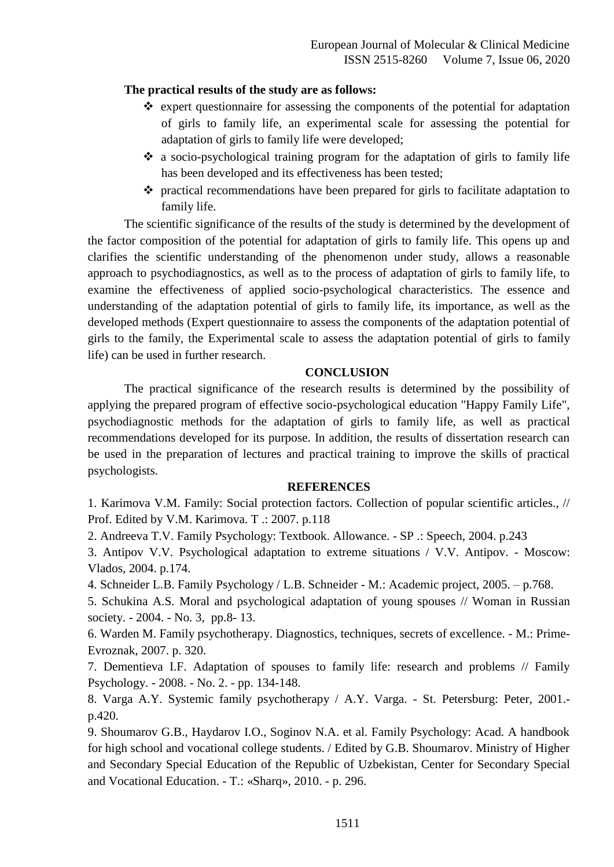### **The practical results of the study are as follows:**

- $\hat{\mathbf{v}}$  expert questionnaire for assessing the components of the potential for adaptation of girls to family life, an experimental scale for assessing the potential for adaptation of girls to family life were developed;
- a socio-psychological training program for the adaptation of girls to family life has been developed and its effectiveness has been tested;
- practical recommendations have been prepared for girls to facilitate adaptation to family life.

The scientific significance of the results of the study is determined by the development of the factor composition of the potential for adaptation of girls to family life. This opens up and clarifies the scientific understanding of the phenomenon under study, allows a reasonable approach to psychodiagnostics, as well as to the process of adaptation of girls to family life, to examine the effectiveness of applied socio-psychological characteristics. The essence and understanding of the adaptation potential of girls to family life, its importance, as well as the developed methods (Expert questionnaire to assess the components of the adaptation potential of girls to the family, the Experimental scale to assess the adaptation potential of girls to family life) can be used in further research.

### **CONCLUSION**

The practical significance of the research results is determined by the possibility of applying the prepared program of effective socio-psychological education "Happy Family Life", psychodiagnostic methods for the adaptation of girls to family life, as well as practical recommendations developed for its purpose. In addition, the results of dissertation research can be used in the preparation of lectures and practical training to improve the skills of practical psychologists.

### **REFERENCES**

1. Karimova V.M. Family: Social protection factors. Collection of popular scientific articles., // Prof. Edited by V.M. Karimova. T .: 2007. p.118

2. Andreeva T.V. Family Psychology: Textbook. Allowance. - SP .: Speech, 2004. p.243

3. Antipov V.V. Psychological adaptation to extreme situations / V.V. Antipov. - Moscow: Vlados, 2004. p.174.

4. Schneider L.B. Family Psychology / L.B. Schneider - M.: Academic project, 2005. – p.768.

5. Schukina A.S. Moral and psychological adaptation of young spouses // Woman in Russian society. - 2004. - No. 3, pp.8- 13.

6. Warden M. Family psychotherapy. Diagnostics, techniques, secrets of excellence. - M.: Prime-Evroznak, 2007. p. 320.

7. Dementieva I.F. Adaptation of spouses to family life: research and problems // Family Psychology. - 2008. - No. 2. - pp. 134-148.

8. Varga A.Y. Systemic family psychotherapy / A.Y. Varga. - St. Petersburg: Peter, 2001. p.420.

9. Shoumarov G.B., Haydarov I.O., Soginov N.A. et al. Family Psychology: Acad. A handbook for high school and vocational college students. / Edited by G.B. Shoumarov. Ministry of Higher and Secondary Special Education of the Republic of Uzbekistan, Center for Secondary Special and Vocational Education. - T.: «Sharq», 2010. - p. 296.